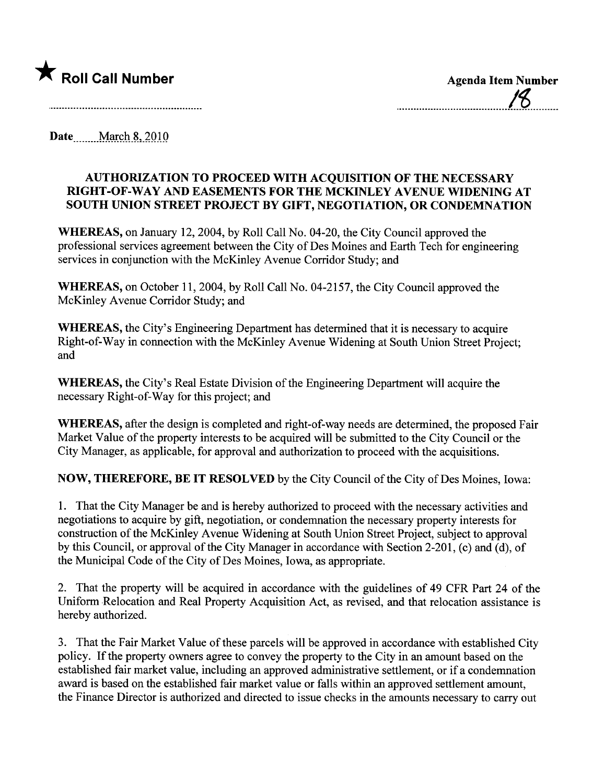

**Date** March 8, 2010

## AUTHORIZATION TO PROCEED WITH ACQUISITION OF THE NECESSARY RIGHT -OF -WAY AND EASEMENTS FOR THE MCKINLEY AVENUE WIDENING AT SOUTH UNION STREET PROJECT BY GIFT, NEGOTIATION, OR CONDEMNATION

WHEREAS, on January 12, 2004, by Roll Call No. 04-20, the City Council approved the professional services agreement between the City of Des Moines and Earh Tech for engineering services in conjunction with the McKinley Avenue Corridor Study; and

WHEREAS, on October 11, 2004, by Roll Call No. 04-2157, the City Council approved the McKinley Avenue Corridor Study; and

WHEREAS, the City's Engineering Department has determined that it is necessary to acquire Right-of-Way in connection with the McKinley Avenue Widening at South Union Street Project; and

WHEREAS, the City's Real Estate Division of the Engineering Deparment will acquire the necessary Right-of-Way for this project; and

WHEREAS, after the design is completed and right-of-way needs are determined, the proposed Fair Market Value of the property interests to be acquired will be submitted to the City Council or the City Manager, as applicable, for approval and authorization to proceed with the acquisitions.

NOW, THEREFORE, BE IT RESOLVED by the City Council of the City of Des Moines, Iowa:

1. That the City Manager be and is hereby authorized to proceed with the necessary activities and negotiations to acquire by gift, negotiation, or condemnation the necessary property interests for construction of the McKinley Avenue Widening at South Union Street Project, subject to approval by this Council, or approval of the City Manager in accordance with Section 2-201, (c) and (d), of the Municipal Code of the City of Des Moines, Iowa, as appropriate.

2. That the property will be acquired in accordance with the guidelines of 49 CFR Part 24 of the Uniform Relocation and Real Property Acquisition Act, as revised, and that relocation assistance is hereby authorized.

3. That the Fair Market Value of these parcels will be approved in accordance with established City policy. If the property owners agree to convey the property to the City in an amount based on the established fair market value, including an approved administrative settlement, or if a condemnation award is based on the established fair market value or falls within an approved settlement amount, the Finance Director is authorized and directed to issue checks in the amounts necessary to cary out